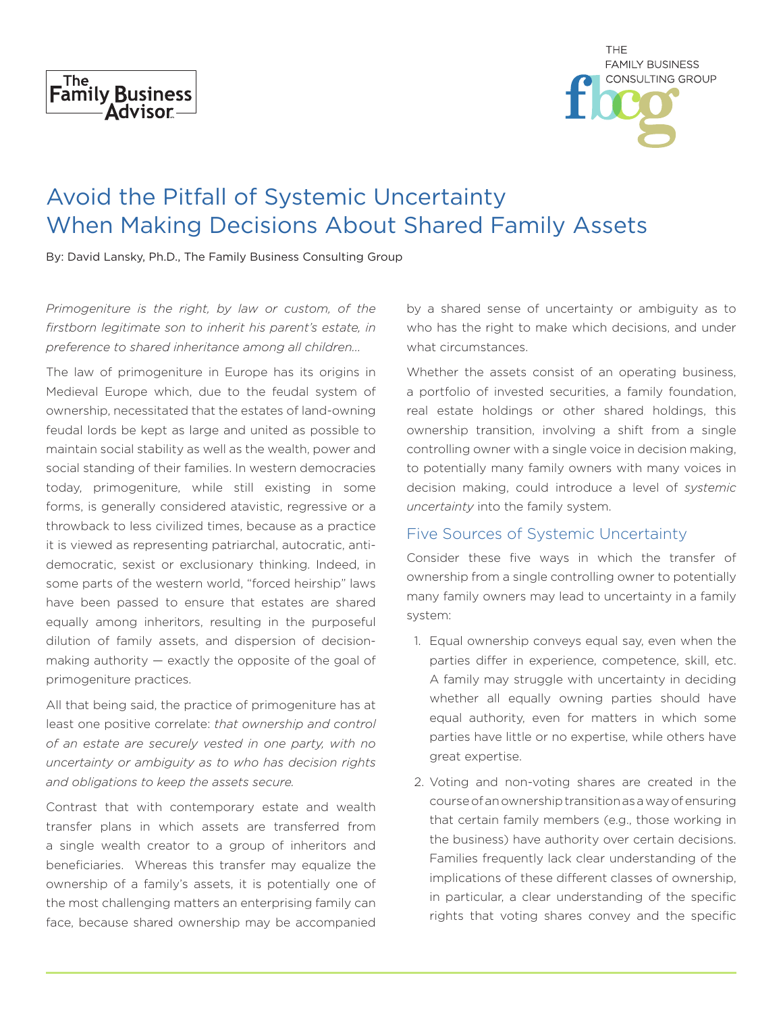

| <b>THE</b>              |
|-------------------------|
| <b>FAMILY BUSINESS</b>  |
| <b>CONSULTING GROUP</b> |
|                         |
|                         |

# Avoid the Pitfall of Systemic Uncertainty When Making Decisions About Shared Family Assets

By: David Lansky, Ph.D., The Family Business Consulting Group

*Primogeniture is the right, by law or custom, of the firstborn legitimate son to inherit his parent's estate, in preference to shared inheritance among all children...* 

The law of primogeniture in Europe has its origins in Medieval Europe which, due to the feudal system of ownership, necessitated that the estates of land-owning feudal lords be kept as large and united as possible to maintain social stability as well as the wealth, power and social standing of their families. In western democracies today, primogeniture, while still existing in some forms, is generally considered atavistic, regressive or a throwback to less civilized times, because as a practice it is viewed as representing patriarchal, autocratic, antidemocratic, sexist or exclusionary thinking. Indeed, in some parts of the western world, "forced heirship" laws have been passed to ensure that estates are shared equally among inheritors, resulting in the purposeful dilution of family assets, and dispersion of decisionmaking authority — exactly the opposite of the goal of primogeniture practices.

All that being said, the practice of primogeniture has at least one positive correlate: *that ownership and control of an estate are securely vested in one party, with no uncertainty or ambiguity as to who has decision rights and obligations to keep the assets secure.* 

Contrast that with contemporary estate and wealth transfer plans in which assets are transferred from a single wealth creator to a group of inheritors and beneficiaries. Whereas this transfer may equalize the ownership of a family's assets, it is potentially one of the most challenging matters an enterprising family can face, because shared ownership may be accompanied

by a shared sense of uncertainty or ambiguity as to who has the right to make which decisions, and under what circumstances.

Whether the assets consist of an operating business, a portfolio of invested securities, a family foundation, real estate holdings or other shared holdings, this ownership transition, involving a shift from a single controlling owner with a single voice in decision making, to potentially many family owners with many voices in decision making, could introduce a level of *systemic uncertainty* into the family system.

## Five Sources of Systemic Uncertainty

Consider these five ways in which the transfer of ownership from a single controlling owner to potentially many family owners may lead to uncertainty in a family system:

- 1. Equal ownership conveys equal say, even when the parties differ in experience, competence, skill, etc. A family may struggle with uncertainty in deciding whether all equally owning parties should have equal authority, even for matters in which some parties have little or no expertise, while others have great expertise.
- 2. Voting and non-voting shares are created in the course of an ownership transition as a way of ensuring that certain family members (e.g., those working in the business) have authority over certain decisions. Families frequently lack clear understanding of the implications of these different classes of ownership, in particular, a clear understanding of the specific rights that voting shares convey and the specific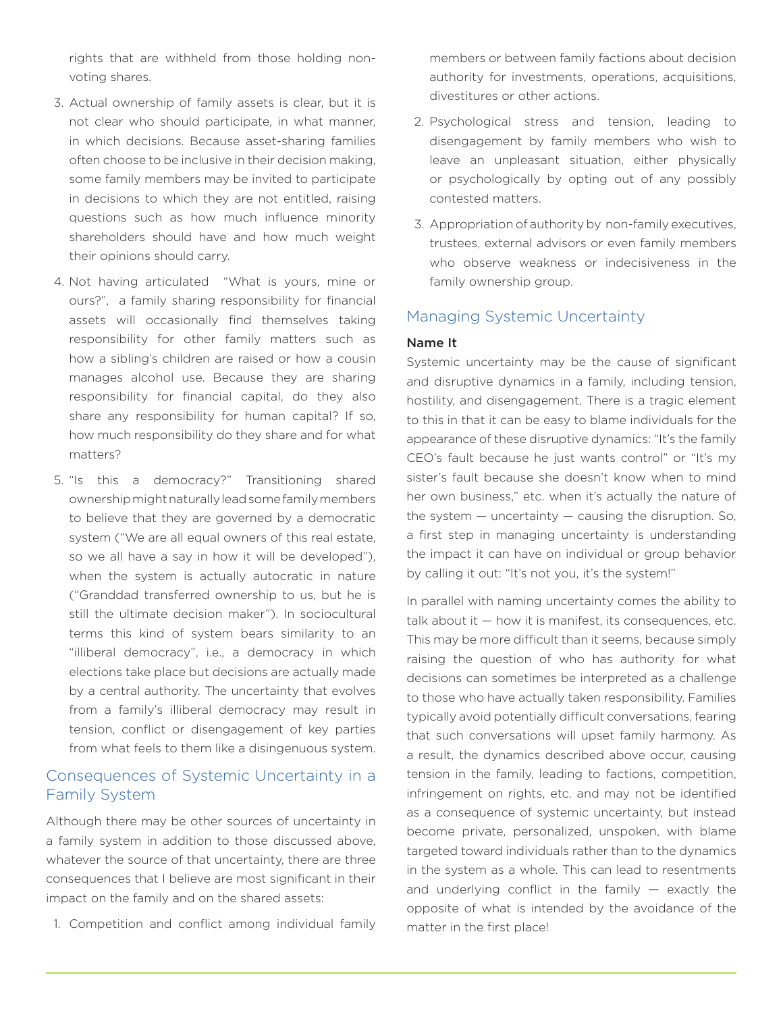rights that are withheld from those holding nonvoting shares.

- 3. Actual ownership of family assets is clear, but it is not clear who should participate, in what manner, in which decisions. Because asset-sharing families often choose to be inclusive in their decision making, some family members may be invited to participate in decisions to which they are not entitled, raising questions such as how much influence minority shareholders should have and how much weight their opinions should carry.
- 4. Not having articulated "What is yours, mine or ours?", a family sharing responsibility for financial assets will occasionally find themselves taking responsibility for other family matters such as how a sibling's children are raised or how a cousin manages alcohol use. Because they are sharing responsibility for financial capital, do they also share any responsibility for human capital? If so, how much responsibility do they share and for what matters?
- 5. "Is this a democracy?" Transitioning shared ownership might naturally lead some family members to believe that they are governed by a democratic system ("We are all equal owners of this real estate, so we all have a say in how it will be developed"), when the system is actually autocratic in nature ("Granddad transferred ownership to us, but he is still the ultimate decision maker"). In sociocultural terms this kind of system bears similarity to an "illiberal democracy", i.e., a democracy in which elections take place but decisions are actually made by a central authority. The uncertainty that evolves from a family's illiberal democracy may result in tension, conflict or disengagement of key parties from what feels to them like a disingenuous system.

## Consequences of Systemic Uncertainty in a Family System

Although there may be other sources of uncertainty in a family system in addition to those discussed above, whatever the source of that uncertainty, there are three consequences that I believe are most significant in their impact on the family and on the shared assets:

1. Competition and conflict among individual family

members or between family factions about decision authority for investments, operations, acquisitions, divestitures or other actions.

- 2. Psychological stress and tension, leading to disengagement by family members who wish to leave an unpleasant situation, either physically or psychologically by opting out of any possibly contested matters.
- 3. Appropriation of authority by non-family executives, trustees, external advisors or even family members who observe weakness or indecisiveness in the family ownership group.

### Managing Systemic Uncertainty

#### Name It

Systemic uncertainty may be the cause of significant and disruptive dynamics in a family, including tension, hostility, and disengagement. There is a tragic element to this in that it can be easy to blame individuals for the appearance of these disruptive dynamics: "It's the family CEO's fault because he just wants control" or "It's my sister's fault because she doesn't know when to mind her own business," etc. when it's actually the nature of the system  $-$  uncertainty  $-$  causing the disruption. So, a first step in managing uncertainty is understanding the impact it can have on individual or group behavior by calling it out: "It's not you, it's the system!"

In parallel with naming uncertainty comes the ability to talk about it — how it is manifest, its consequences, etc. This may be more difficult than it seems, because simply raising the question of who has authority for what decisions can sometimes be interpreted as a challenge to those who have actually taken responsibility. Families typically avoid potentially difficult conversations, fearing that such conversations will upset family harmony. As a result, the dynamics described above occur, causing tension in the family, leading to factions, competition, infringement on rights, etc. and may not be identified as a consequence of systemic uncertainty, but instead become private, personalized, unspoken, with blame targeted toward individuals rather than to the dynamics in the system as a whole. This can lead to resentments and underlying conflict in the family  $-$  exactly the opposite of what is intended by the avoidance of the matter in the first place!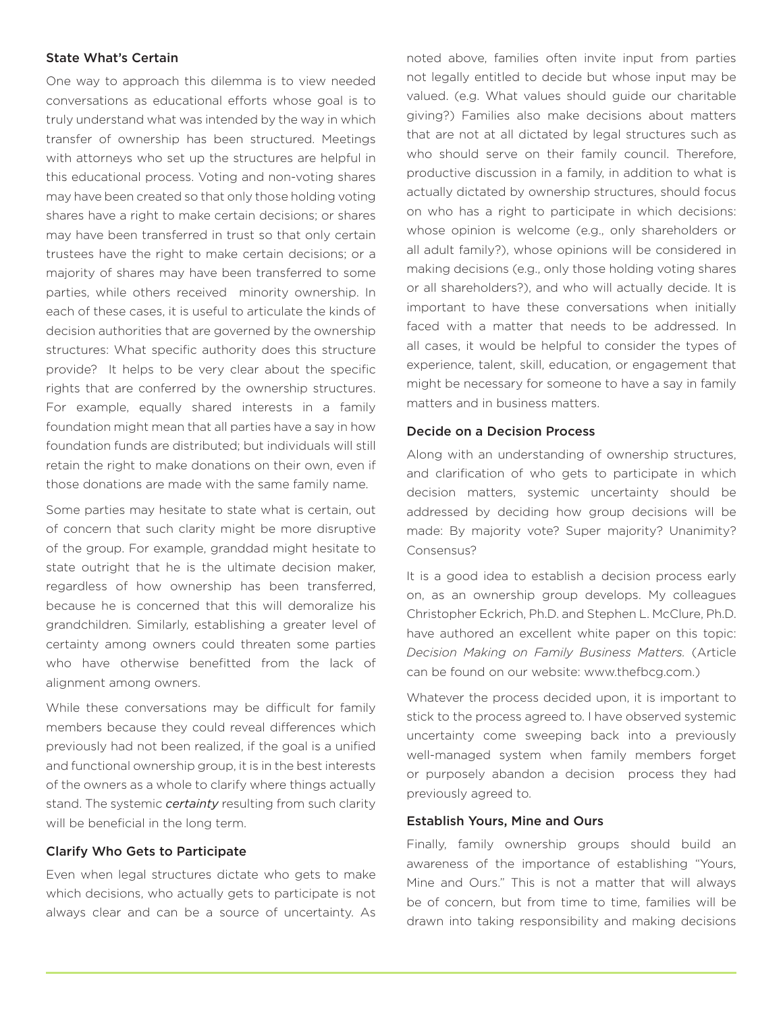#### State What's Certain

One way to approach this dilemma is to view needed conversations as educational efforts whose goal is to truly understand what was intended by the way in which transfer of ownership has been structured. Meetings with attorneys who set up the structures are helpful in this educational process. Voting and non-voting shares may have been created so that only those holding voting shares have a right to make certain decisions; or shares may have been transferred in trust so that only certain trustees have the right to make certain decisions; or a majority of shares may have been transferred to some parties, while others received minority ownership. In each of these cases, it is useful to articulate the kinds of decision authorities that are governed by the ownership structures: What specific authority does this structure provide? It helps to be very clear about the specific rights that are conferred by the ownership structures. For example, equally shared interests in a family foundation might mean that all parties have a say in how foundation funds are distributed; but individuals will still retain the right to make donations on their own, even if those donations are made with the same family name.

Some parties may hesitate to state what is certain, out of concern that such clarity might be more disruptive of the group. For example, granddad might hesitate to state outright that he is the ultimate decision maker, regardless of how ownership has been transferred, because he is concerned that this will demoralize his grandchildren. Similarly, establishing a greater level of certainty among owners could threaten some parties who have otherwise benefitted from the lack of alignment among owners.

While these conversations may be difficult for family members because they could reveal differences which previously had not been realized, if the goal is a unified and functional ownership group, it is in the best interests of the owners as a whole to clarify where things actually stand. The systemic *certainty* resulting from such clarity will be beneficial in the long term.

#### Clarify Who Gets to Participate

Even when legal structures dictate who gets to make which decisions, who actually gets to participate is not always clear and can be a source of uncertainty. As

noted above, families often invite input from parties not legally entitled to decide but whose input may be valued. (e.g. What values should guide our charitable giving?) Families also make decisions about matters that are not at all dictated by legal structures such as who should serve on their family council. Therefore, productive discussion in a family, in addition to what is actually dictated by ownership structures, should focus on who has a right to participate in which decisions: whose opinion is welcome (e.g., only shareholders or all adult family?), whose opinions will be considered in making decisions (e.g., only those holding voting shares or all shareholders?), and who will actually decide. It is important to have these conversations when initially faced with a matter that needs to be addressed. In all cases, it would be helpful to consider the types of experience, talent, skill, education, or engagement that might be necessary for someone to have a say in family matters and in business matters.

#### Decide on a Decision Process

Along with an understanding of ownership structures, and clarification of who gets to participate in which decision matters, systemic uncertainty should be addressed by deciding how group decisions will be made: By majority vote? Super majority? Unanimity? Consensus?

It is a good idea to establish a decision process early on, as an ownership group develops. My colleagues Christopher Eckrich, Ph.D. and Stephen L. McClure, Ph.D. have authored an excellent white paper on this topic: *Decision Making on Family Business Matters.* (Article can be found on our website: www.thefbcg.com.)

Whatever the process decided upon, it is important to stick to the process agreed to. I have observed systemic uncertainty come sweeping back into a previously well-managed system when family members forget or purposely abandon a decision process they had previously agreed to.

#### Establish Yours, Mine and Ours

Finally, family ownership groups should build an awareness of the importance of establishing "Yours, Mine and Ours." This is not a matter that will always be of concern, but from time to time, families will be drawn into taking responsibility and making decisions